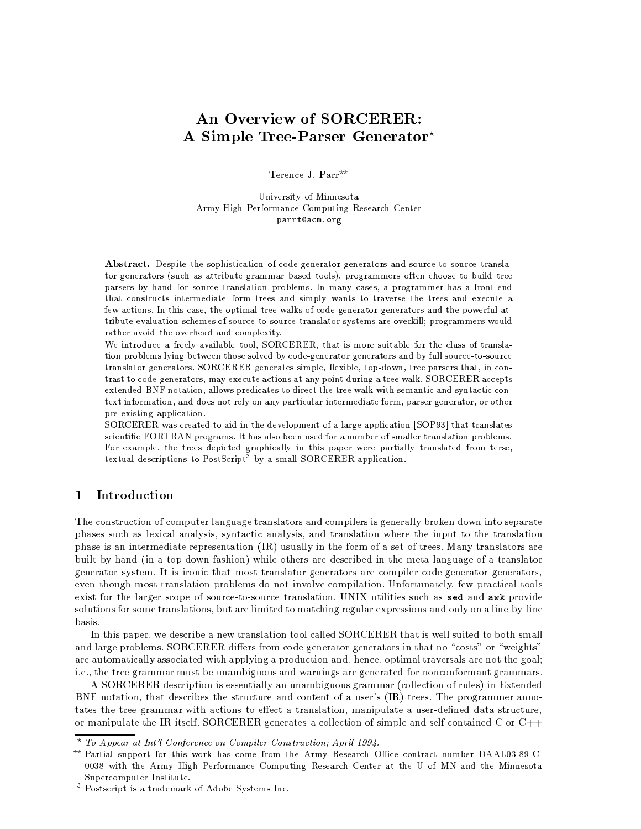# An Overview of SORCERER: A Simple Tree-Parser Generator\*

Terence J. Parr<sup>\*\*</sup>

University of Minnesota Army High Performance Computing Research Center parrt@acm.org

Abstract. Despite the sophistication of code-generator generators and source-to-source translator generators (such as attribute grammar based tools), programmers often choose to build tree parsers by hand for source translation problems. In many cases, a programmer has a front-end that constructs intermediate form trees and simply wants to traverse the trees and execute a few actions. In this case, the optimal tree walks of code-generator generators and the powerful attribute evaluation schemes of source-to-source translator systems are overkill; programmers would rather avoid the overhead and complexity.

We introduce a freely available tool, SORCERER, that is more suitable for the class of translation problems lying between those solved by code-generator generators and by full source-to-source translator generators. SORCERER generates simple, flexible, top-down, tree parsers that, in contrast to code-generators, may execute actions at any point during a tree walk. SORCERER accepts extended BNF notation, allows predicates to direct the tree walk with semantic and syntactic context information, and does not rely on any particular intermediate form, parser generator, or other pre-existing application.

SORCERER was created to aid in the development of a large application [SOP93] that translates scientific FORTRAN programs. It has also been used for a number of smaller translation problems. For example, the trees depicted graphically in this paper were partially translated from terse, textual descriptions to PostScript<sup>3</sup> by a small SORCERER application.

#### Introduction  $\mathbf{1}$

The construction of computer language translators and compilers is generally broken down into separate phases such as lexical analysis, syntactic analysis, and translation where the input to the translation phase is an intermediate representation (IR) usually in the form of a set of trees. Many translators are built by hand (in a top-down fashion) while others are described in the meta-language of a translator generator system. It is ironic that most translator generators are compiler code-generator generators, even though most translation problems do not involve compilation. Unfortunately, few practical tools exist for the larger scope of source-to-source translation. UNIX utilities such as sed and awk provide solutions for some translations, but are limited to matching regular expressions and only on a line-by-line basis.

In this paper, we describe a new translation tool called SORCERER that is well suited to both small and large problems. SORCERER differs from code-generator generators in that no "costs" or "weights" are automatically associated with applying a production and, hence, optimal traversals are not the goal; i.e., the tree grammar must be unambiguous and warnings are generated for nonconformant grammars.

A SORCERER description is essentially an unambiguous grammar (collection of rules) in Extended BNF notation, that describes the structure and content of a user's (IR) trees. The programmer annotates the tree grammar with actions to effect a translation, manipulate a user-defined data structure, or manipulate the IR itself. SORCERER generates a collection of simple and self-contained C or  $C_{++}$ 

<sup>\*</sup> To Appear at Int'l Conference on Compiler Construction; April 1994.

<sup>\*\*</sup> Partial support for this work has come from the Army Research Office contract number DAAL03-89-C-0038 with the Army High Performance Computing Research Center at the U of MN and the Minnesota Supercomputer Institute.

<sup>&</sup>lt;sup>3</sup> Postscript is a trademark of Adobe Systems Inc.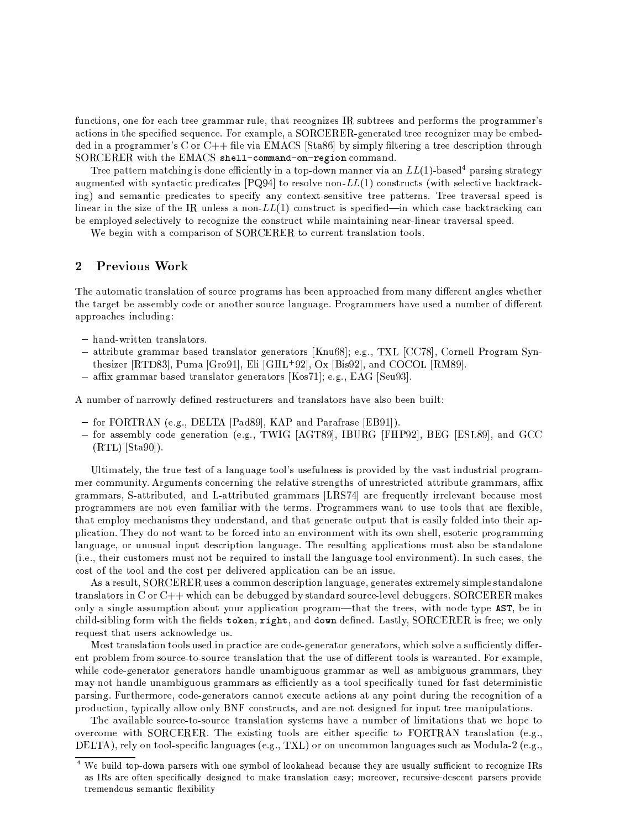. It is a construction of the construction of the construction of the construction of the construction of the construction of the construction of the construction of the construction of the construction of the construction N\*AdB.CED\*@1F6C,@eB.OGJMF.^:JIAC/fJI]bF.J=g\*?GJ@AJ\*h1iGD\*L6JjN R-^GV,JHkNal1maZMnMoZYoZ`pqP\*J@1JL'NSB.JI]eB
L.JJYL.JIAdD\*P\*@GC,WJL R!N=ra\JYJRs\J=]p  $\blacksquare$ l1maZMnMoZYoZ[MCEB
OTB
O1JQoy!z%nMl=SG\* S1S=:SSADR-RTNS@]h

Tree pattern matching is done efficiently in a top-down manner via an  $LL(1)$ -based<sup>4</sup> parsing strategy t. Absorber 1988 in the Second Contract of the Second Contract of the Second Contract of the Second Contract of the Second Contract of the Second Contract of the Second Contract of the Second Contract of the Second Contrac t \ international particular control to the control of the control of the control of the control of the control of the control of the control of the control of the control of the control of the control of the control of t linear in the size of the IR unless a non-LL(1) construct is specified—in which case backtracking can \:JQJR-^GV,D rJI]eF.JV,J=AB.CEx\*JV,rbB.DsL
JIAD\*P@1CEWJQB
O1JQAD\*@1F
B.L
?ABaMO1CEVEJ%RTNSCE@BN CE@1CE@1Pa@1JINSLqpqVEC,@GJIN LMB
L'N=x\*JL.F'NSVF
^JJ=]h

¬Ja\JPCE@TMCEB
OTNsADR-^NSL.CEF.D@sD >lGmZMnMo6Z%oZB
DA?GL.L.J@BaB
L'N @GF.V(N B
C,D@-B
DDVEFIh

#### ®Previous Work

on in the contract of the contract of the contract of the contract of the contract of the contract of the contract of the contract of the contract of the contract of the contract of the contract of the contract of the cont and the state of the state of the state of the state of the state of the state of the state of the state of the approaches including:

- $=$  hand-written tranglators  $=$
- $\sim$  attribute grammar based translator generators [Knu68]: e.g. TXL [CC78] Cornell Program Syn-.H1OUVEC'H E.HNIMMJ}ICEF' Ë.HNIMMJ}ËAL.D 1999 E.HNIMMJ.
- $\sim$  affix grammar based translator generators [Kos71]: e.g. EAG [Seu03]  $\sim$

r:Julie de la provincia de la provincia de la provincia de la provincia de la provincia de la provincia de la

- $=$  for EORTRAN (e.g. DELTA [Pad89] KAP and Parafrase [ER91])
- $\sim$  for assembly code generation (e.g. TWIC [ACT80] IRHIRC [FHP09] REC [FSL80] and GCC  $\lambda = \lambda$  . For a state  $\lambda$

on a straighter of the straighter of the straighter of the straighter of the straighter of the straighter of the straighter of the straighter of the straighter of the straighter of the straighter of the straighter of the s readers are a constructed to the second construction of the second construction of the second construction of the second construction of the second construction of the second construction of the second construction of the read and the state of the state of the state of the state of the state of the state of the state of the state o The celestial results of the celestial results of the celestial results of the celestial results of the celestial results of the celestial results of the celestial results of the celestial results of the celestial results B.O:N B`JR-^1VED reR-JIA
ONS@1CEF.RbFÎB
O1Jrb?1@]JL
F.BN @]H:N @]tB.ONSBMP\*J@GJL'NSB.JaD\*?1B
^1?1BMB
ON B`CEF JINSF.CEVEre>D\*V(]J=]sCE@B.DeB.O1JCELMN ^p Jubit and the position of the contract of the contract of the contract of the contract of the contract of the contract of the contract of the contract of the contract of the contract of the contract of the contract of the V(No. 2001) International contract of the contract of the contract of the contract of the contract of the contract of the contract of the contract of the contract of the contract of the contract of the contract of the cont Cqh J\*hEHB.O1JCELMA?1F
B.D\*RbJL.FMRs?GF.B@1DB \:J%L
JIg?1CEL.JI]bB
DCE@1F
B'N VEV:B.O1JaV(N @GP\*?NSP\*JMB.DDVJ@xCEL.D@1R-J@BhXq@-F.?:A.O!AN F
JFIHGB.O1Jcost of the tool and the cost per delivered application can be an issue.

i.a. Jerman alemento de la consecutación de la consecutación de la consecutación de la consecutación de la consecutación de la consecutación de la consecutación de la consecutación de la consecutación de la consecutación d translators in C or  $C++$  which can be debugged by standard source-level debuggers. SORCERER makes t, and the control of the control of the control of the control of the control of the control of the control of the control of the control of the control of the control of the control of the control of the control of the a Certhich and Certhicago and the Mondmond and the Manual Street and the Manual Street and the Manual Street and the Manual Street and the Manual Street and the Manual Street and the Manual Street and the Manual Street and request that users acknowledge us.

Most translation tools used in practice are code-generator generators, which solve a sufficiently different problem from source-to-source translation that the use of different tools is warranted. For example, and the contract of the contract of the contract of the contract of the contract of the contract of the contract of the contract of the contract of the contract of the contract of the contract of the contract of the contra rth=lite in the central central central central central central central central central central central central central central central central central central central central central central central central central centra the central department of the central department of the central department of the central department of the central department of the central department of the central department of the central department of the central de .ab.ced.br/the.br/the.br/the.Br/the.Br/the.Br/the.Br/the.Br/the.Br/the.Br/the.Br/the.Br/the.Br/the.Br/the.Br/the.Br/the.Br/the.Br/the.Br/the.Br/the.Br/the.Br/the.Br/the.Br/the.Br/the.Br/the.Br/the.Br/the.Br/the.Br/the.Br/t

on and the set of the set of the set of the set of the set of the set of the set of the set of the set of the s L'Non on Die Linder (1980) (1980) (1980) (1980) (1980) (1980) (1980) (1980) (1980) (1980) (1980) (1980) (1980) (1980) (1980) (1980) (1980) (1980) (1980) (1980) (1980) (1980) (1980) (1980) (1980) (1980) (1980) (1980) (1980) ÆoÃzH=L.JVEreD\*@sB.DDV\$pqF.^:JIAC/fºA`V(NS@1P\*?NSP\*JF`KJ\*h PhEH MÂÃ D\*LD@?1@:AD\*RbR-D\*@aV(N @GP\*?NSP\*JFUF.?:A.O!N Fy!D1]?1V(Nkp\_˻Jh P:hEH

<sup>&</sup>lt;sup>4</sup> We build top-down parsers with one symbol of lookahead because they are usually sufficient to recognize IRs as IRs are often specifically designed to make translation easy; moreover, recursive-descent parsers provide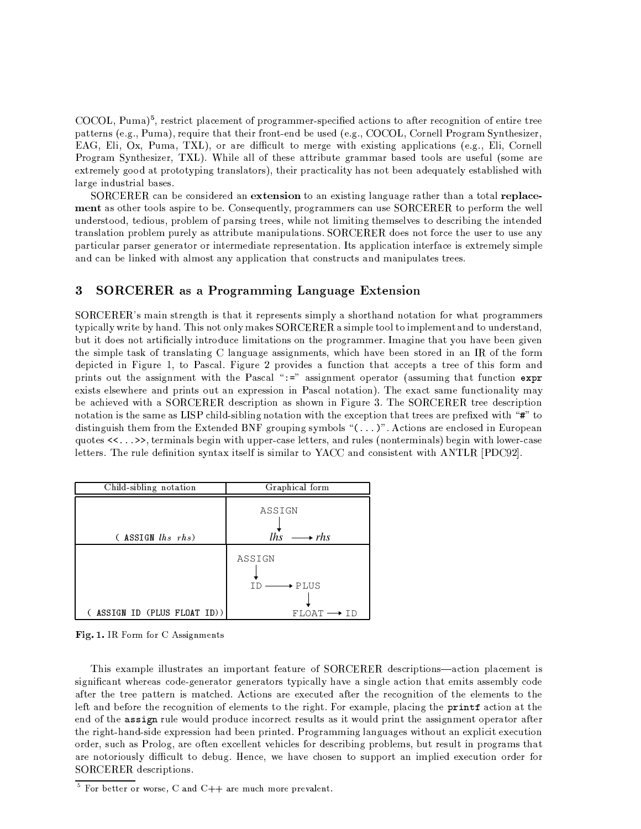COCOL, Puma)<sup>5</sup>, restrict placement of programmer-specified actions to after recognition of entire tree patterns (e.g., Puma), require that their front-end be used (e.g., COCOL, Cornell Program Synthesizer, EAG, Eli, Ox, Puma, TXL), or are difficult to merge with existing applications (e.g., Eli, Cornell Program Synthesizer, TXL). While all of these attribute grammar based tools are useful (some are extremely good at prototyping translators), their practicality has not been adequately established with large industrial bases.

SORCERER can be considered an extension to an existing language rather than a total replacement as other tools aspire to be. Consequently, programmers can use SORCERER to perform the well understood, tedious, problem of parsing trees, while not limiting themselves to describing the intended translation problem purely as attribute manipulations. SORCERER does not force the user to use any particular parser generator or intermediate representation. Its application interface is extremely simple and can be linked with almost any application that constructs and manipulates trees.

#### 3 **SORCERER** as a Programming Language Extension

SORCERER's main strength is that it represents simply a shorthand notation for what programmers typically write by hand. This not only makes SORCERER a simple tool to implement and to understand, but it does not artificially introduce limitations on the programmer. Imagine that you have been given the simple task of translating C language assignments, which have been stored in an IR of the form depicted in Figure 1, to Pascal, Figure 2 provides a function that accepts a tree of this form and prints out the assignment with the Pascal ":=" assignment operator (assuming that function expr exists elsewhere and prints out an expression in Pascal notation). The exact same functionality may be achieved with a SORCERER description as shown in Figure 3. The SORCERER tree description notation is the same as LISP child-sibling notation with the exception that trees are prefixed with "#" to distinguish them from the Extended BNF grouping symbols " $( \ldots )$ ". Actions are enclosed in European quotes <<...>>, terminals begin with upper-case letters, and rules (nonterminals) begin with lower-case letters. The rule definition syntax itself is similar to YACC and consistent with ANTLR [PDC92].

| Child-sibling notation       | Graphical form                                                    |
|------------------------------|-------------------------------------------------------------------|
| $($ ASSIGN $lhs$ $rhs$ )     | ASSIGN<br>$lhs \longrightarrow rhs$                               |
| ( ASSIGN ID (PLUS FLOAT ID)) | ASSIGN<br>$\rightarrow$ PLUS<br>TD.<br>$FLOAT \longrightarrow ID$ |

Fig. 1. IR Form for C Assignments

This example illustrates an important feature of SORCERER descriptions—action placement is significant whereas code-generator generators typically have a single action that emits assembly code after the tree pattern is matched. Actions are executed after the recognition of the elements to the left and before the recognition of elements to the right. For example, placing the printf action at the end of the assign rule would produce incorrect results as it would print the assignment operator after the right-hand-side expression had been printed. Programming languages without an explicit execution order, such as Prolog, are often excellent vehicles for describing problems, but result in programs that are notoriously difficult to debug. Hence, we have chosen to support an implied execution order for SORCERER descriptions.

 $5$  For better or worse. C and C++ are much more prevalent.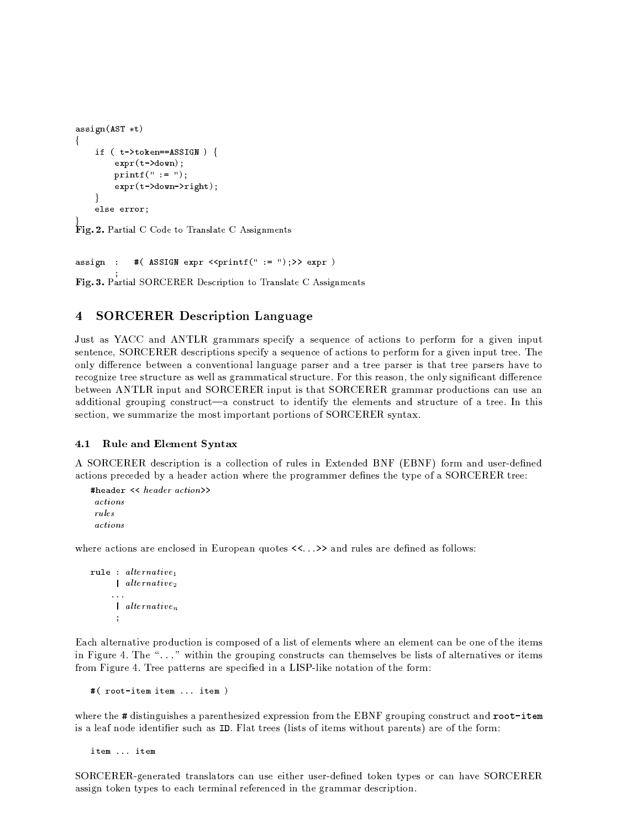```
assign(AST *t)if (t - > t \circ \text{ken} == \text{ASSIGN}) {
          expr(t->down):print(f'':= ''):
          expr(t->down->right);\mathcal{E}else error;
```
Fig. 2. Partial C Code to Translate C Assignments

assign : #(  $ASSIGN$  expr <<printf(" := ");>> expr )

Fig. 3. Partial SORCERER Description to Translate C Assignments

#### $\overline{4}$ **SORCERER Description Language**

Just as YACC and ANTLR grammars specify a sequence of actions to perform for a given input sentence, SORCERER descriptions specify a sequence of actions to perform for a given input tree. The only difference between a conventional language parser and a tree parser is that tree parsers have to recognize tree structure as well as grammatical structure. For this reason, the only significant difference between ANTLR input and SORCERER input is that SORCERER grammar productions can use an additional grouping construct—a construct to identify the elements and structure of a tree. In this section, we summarize the most important portions of SORCERER syntax.

#### Rule and Element Syntax  $4.1$

A SORCERER description is a collection of rules in Extended BNF (EBNF) form and user-defined actions preceded by a header action where the programmer defines the type of a SORCERER tree:

```
#header << header action>>
actions
rulesactions
```
where actions are enclosed in European quotes  $\langle \langle \cdot, \cdot \rangle \rangle$  and rules are defined as follows:

```
rule : \mathit{alternative}_1\lceil alternative<sub>2</sub>
        \ldots\int alternative<sub>n</sub>
          \cdot
```
Each alternative production is composed of a list of elements where an element can be one of the items in Figure 4. The "..." within the grouping constructs can themselves be lists of alternatives or items from Figure 4. Tree patterns are specified in a LISP-like notation of the form:

#( root-item item ... item )

where the # distinguishes a parenthesized expression from the EBNF grouping construct and root-item is a leaf node identifier such as ID. Flat trees (lists of items without parents) are of the form:

item ... item

SORCERER-generated translators can use either user-defined token types or can have SORCERER assign token types to each terminal referenced in the grammar description.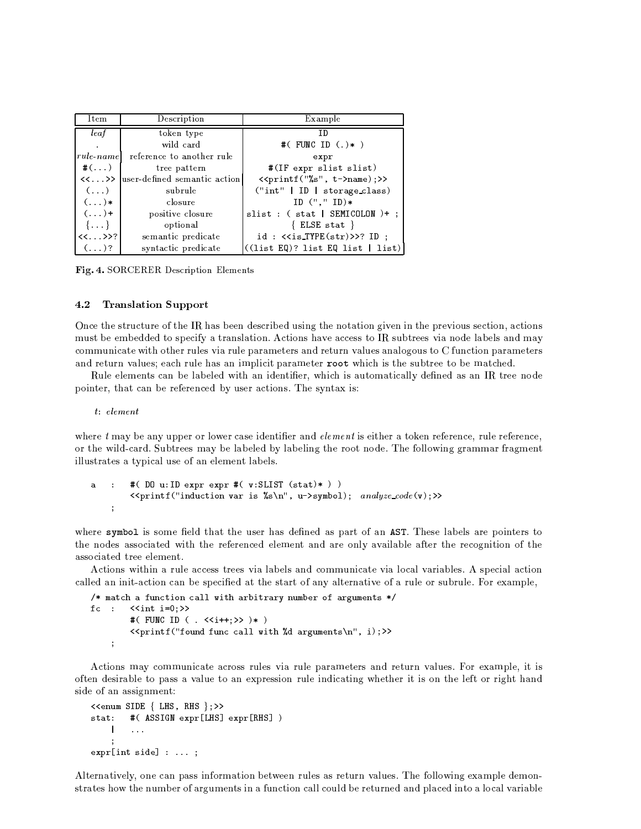| Item           | Description                                 | Example                                             |
|----------------|---------------------------------------------|-----------------------------------------------------|
| leaf           | token type                                  | TD                                                  |
|                | wild card                                   | #( FUNC ID $(.)$ * )                                |
|                | <i>rule</i> namel reference to another rule | expr                                                |
| $\#(\ldots)$   | tree pattern                                | #(IF expr slist slist)                              |
|                | <<>>  user-defined semantic action          | < <printf("%s", t-="">name);&gt;&gt;</printf("%s",> |
| $(\ldots)$     | subrule                                     | ("int"   ID   storage_class)                        |
| $(\ldots)*$    | closure                                     | $ID$ $($ ", " $ID)*$                                |
| $(\ldots)$ +   | positive closure                            | $slist:$ (stat   SEMICOLON $)+$ ;                   |
| $\{\ldots\}$   | optional                                    | $\{ ELSE stat \}$                                   |
| $<<$ >>?       | semantic predicate                          | $id:$ < <is_type(str)>&gt;? ID;</is_type(str)>      |
| $( \ldots )$ ? | syntactic predicate                         | $($ (1ist EQ)? list EQ list   list)                 |

Fig. 4. SORCERER Description Elements

#### 4.2 **Translation Support**

Once the structure of the IR has been described using the notation given in the previous section, actions must be embedded to specify a translation. Actions have access to IR subtrees via node labels and may communicate with other rules via rule parameters and return values analogous to C function parameters and return values; each rule has an implicit parameter root which is the subtree to be matched.

Rule elements can be labeled with an identifier, which is automatically defined as an IR tree node pointer, that can be referenced by user actions. The syntax is:

 $t: element$ 

where  $t$  may be any upper or lower case identifier and *element* is either a token reference, rule reference, or the wild-card. Subtrees may be labeled by labeling the root node. The following grammar fragment illustrates a typical use of an element labels.

```
#(DO u:ID expr expr #(v:SLIST (stat)*))
a
    \cdot:
         <<printf("induction var is %s\n", u->symbol); analyze_code(v);>>
     \ddot{\phantom{a}}
```
where symbol is some field that the user has defined as part of an AST. These labels are pointers to the nodes associated with the referenced element and are only available after the recognition of the associated tree element.

Actions within a rule access trees via labels and communicate via local variables. A special action called an init-action can be specified at the start of any alternative of a rule or subrule. For example,

```
/* match a function call with arbitrary number of arguments */fc : \leint i=0:>>
          #( FUNC ID ( . \langle\langle i++; \rangle \rangle )* )
          <<printf("found func call with %d arguments\n", i);>>
     \ddot{\phantom{a}}
```
Actions may communicate across rules via rule parameters and return values. For example, it is often desirable to pass a value to an expression rule indicating whether it is on the left or right hand side of an assignment:

```
<<enum SIDE { LHS, RHS };>>
stat: #(ASSIGN expr[LHS] expr[RHS])
    \mathbf{I}\ldots\ddot{\cdot}expr(int side] : ...;
```
Alternatively, one can pass information between rules as return values. The following example demonstrates how the number of arguments in a function call could be returned and placed into a local variable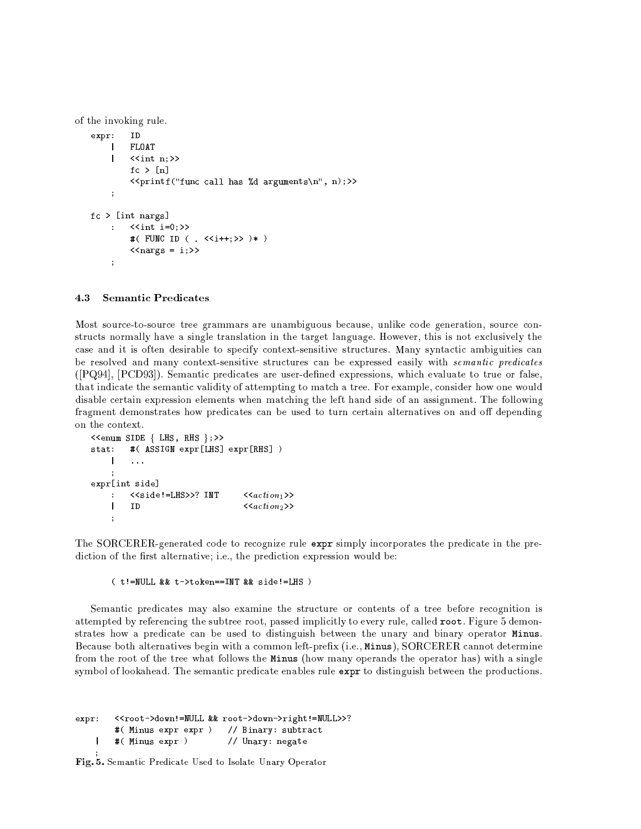of the invoking rule.

```
expr:ID
       | FLOAT
       \left| \right| < < int n: >>
              fc > \lceil n \rceil<<printf("func call has %d arguments\n", n);>>
       \ddot{ }fc > [int nargs]
             \langle \sin t | i = 0 \rangle\mathcal{L}^{\mathcal{L}}#( FUNC ID ( . \langle\langle i++; \rangle \rangle )* )
              \langle \langle \text{nargs} = i \rangle \rangle\ddot{ }
```
#### 4.3 **Semantic Predicates**

Most source-to-source tree grammars are unambiguous because, unlike code generation, source constructs normally have a single translation in the target language. However, this is not exclusively the case and it is often desirable to specify context-sensitive structures. Many syntactic ambiguities can be resolved and many context-sensitive structures can be expressed easily with semantic predicates ([PQ94], [PCD93]). Semantic predicates are user-defined expressions, which evaluate to true or false, that indicate the semantic validity of attempting to match a tree. For example, consider how one would disable certain expression elements when matching the left hand side of an assignment. The following fragment demonstrates how predicates can be used to turn certain alternatives on and off depending on the context.

```
<<enum SIDE { LHS, RHS };>>
stat: #(ASSIGN expr[LHS] expr[RHS])
       \mathbf{I}\sim . . .
expr[int side]
                                                    \langle <i>action</i><sub>1</sub> \rangle: <<side!=LHS>>? INT
                                                    \langle <i>action</i><sub>2</sub> \rangle\mathbf{I}ID
       \ddot{\phantom{a}}
```
The SORCERER-generated code to recognize rule expr simply incorporates the predicate in the prediction of the first alternative; i.e., the prediction expression would be:

### ( t!=NULL && t->token == INT && side! = LHS )

Semantic predicates may also examine the structure or contents of a tree before recognition is attempted by referencing the subtree root, passed implicitly to every rule, called root. Figure 5 demonstrates how a predicate can be used to distinguish between the unary and binary operator Minus. Because both alternatives begin with a common left-prefix (i.e., Minus), SORCERER cannot determine from the root of the tree what follows the Minus (how many operands the operator has) with a single symbol of lookahead. The semantic predicate enables rule expr to distinguish between the productions.

```
<<root->down!=NULL && root->down->right!=NULL>>?
expr:# ( Minus expr expr ) // Binary: subtract
    \mathbf{I}#( Minus expr )// Unary: negate
```
Fig. 5. Semantic Predicate Used to Isolate Unary Operator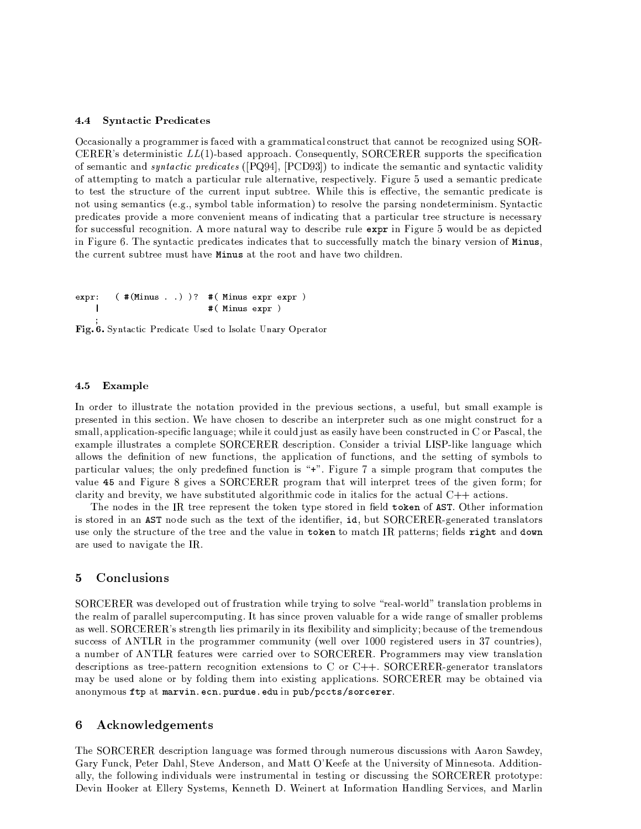#### 4.4 **Syntactic Predicates**

Occasionally a programmer is faced with a grammatical construct that cannot be recognized using SOR-CERER's deterministic  $LL(1)$ -based approach. Consequently, SORCERER supports the specification of semantic and *syntactic predicates* ([PQ94], [PCD93]) to indicate the semantic and syntactic validity of attempting to match a particular rule alternative, respectively. Figure 5 used a semantic predicate to test the structure of the current input subtree. While this is effective, the semantic predicate is not using semantics (e.g., symbol table information) to resolve the parsing nondeterminism. Syntactic predicates provide a more convenient means of indicating that a particular tree structure is necessary for successful recognition. A more natural way to describe rule expr in Figure 5 would be as depicted in Figure 6. The syntactic predicates indicates that to successfully match the binary version of Minus, the current subtree must have Minus at the root and have two children.

```
expr:( #(Minus . . ) )? #(Minus expr expr )#( Minus expr )\overline{\phantom{a}}
```
Fig. 6. Syntactic Predicate Used to Isolate Unary Operator

#### 4.5  $\bold{Example}$

In order to illustrate the notation provided in the previous sections, a useful, but small example is presented in this section. We have chosen to describe an interpreter such as one might construct for a small, application-specific language; while it could just as easily have been constructed in C or Pascal, the example illustrates a complete SORCERER description. Consider a trivial LISP-like language which allows the definition of new functions, the application of functions, and the setting of symbols to particular values; the only predefined function is "+". Figure 7 a simple program that computes the value 45 and Figure 8 gives a SORCERER program that will interpret trees of the given form; for clarity and brevity, we have substituted algorithmic code in its for the actual  $C++$  actions.

The nodes in the IR tree represent the token type stored in field token of AST. Other information is stored in an AST node such as the text of the identifier, id, but SORCERER-generated translators use only the structure of the tree and the value in token to match IR patterns; fields right and down are used to navigate the IR.

#### $\mathbf{5}$ Conclusions

SORCERER was developed out of frustration while trying to solve "real-world" translation problems in the realm of parallel supercomputing. It has since proven valuable for a wide range of smaller problems as well. SORCERER's strength lies primarily in its flexibility and simplicity; because of the tremendous success of ANTLR in the programmer community (well over 1000 registered users in 37 countries), a number of ANTLR features were carried over to SORCERER. Programmers may view translation descriptions as tree-pattern recognition extensions to C or C++. SORCERER-generator translators may be used alone or by folding them into existing applications. SORCERER may be obtained via anonymous ftp at marvin.ecn.purdue.edu in pub/pccts/sorcerer.

#### Acknowledgements 6

The SORCERER description language was formed through numerous discussions with Aaron Sawdey, Gary Funck, Peter Dahl, Steve Anderson, and Matt O'Keefe at the University of Minnesota. Additionally, the following individuals were instrumental in testing or discussing the SORCERER prototype: Devin Hooker at Ellery Systems, Kenneth D. Weinert at Information Handling Services, and Marlin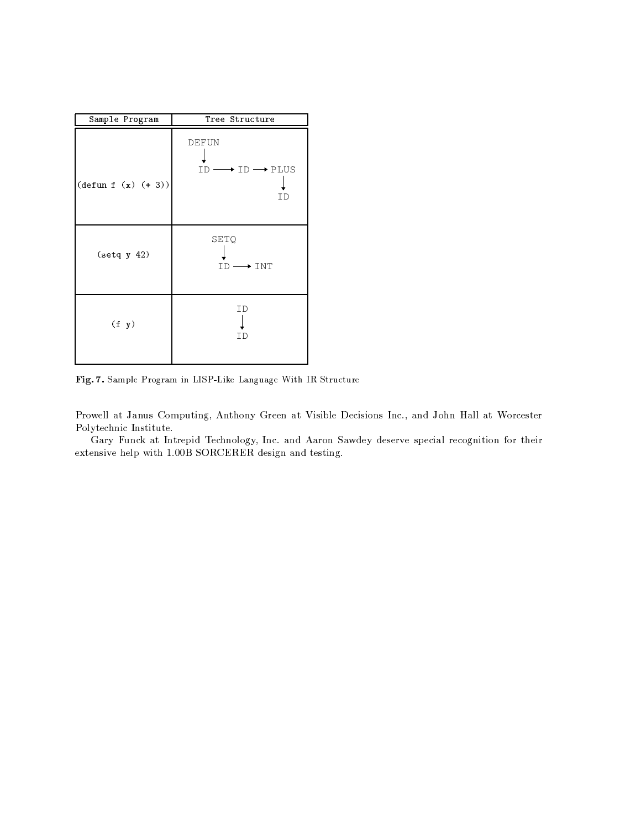| Sample Program                | Tree Structure                                                 |
|-------------------------------|----------------------------------------------------------------|
| $(\text{defun } f (x) (+ 3))$ | <b>DEFUN</b><br>$\star$ id $\longrightarrow$ PLUS<br>ID-<br>ΤD |
| $(\text{setq y 42})$          | SETQ<br>$\overline{\phantom{a}}$ int<br>$ID -$                 |
| (f y)                         | ID<br>ΙD                                                       |

Fig. 7. Sample Program in LISP-Like Language With IR Structure

Prowell at Janus Computing, Anthony Green at Visible Decisions Inc., and John Hall at Worcester Polytechnic Institute.

Gary Funck at Intrepid Technology, Inc. and Aaron Sawdey deserve special recognition for their extensive help with 1.00B SORCERER design and testing.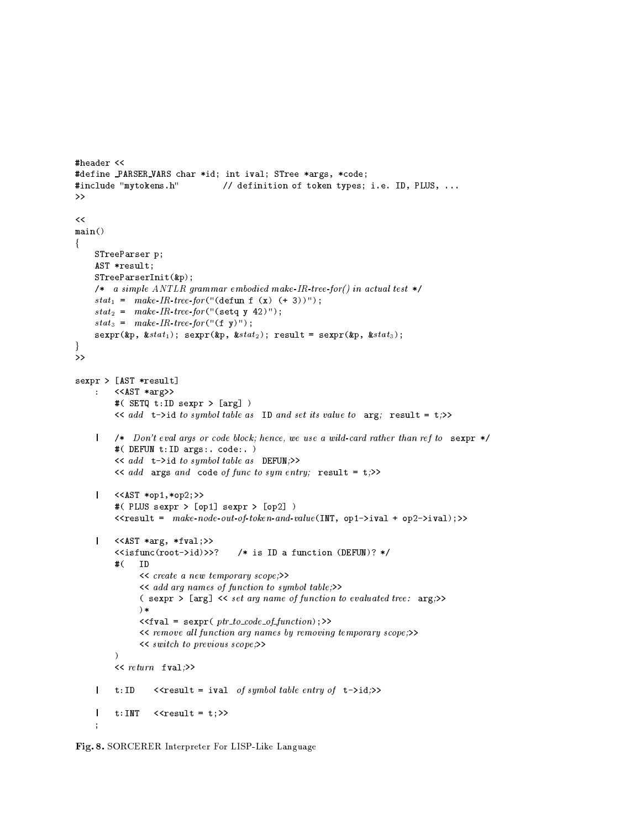```
#header <<
#define PARSER_VARS char *id; int ival; STree *args, *code;
#include "mytokens.h"
                                        // definition of token types; i.e. ID, PLUS, ...
\rightarrow\overline{\epsilon}main()ł.
     STreeParser p;
     AST *result:
     STreeParserInit(*);
     /* a simple ANTLR grammar embodied make-IR-tree-for() in actual test */
     stat_1 = make-IR-tree-for("(defun f (x) (+ 3))");
     stat_2 = make-IR-tree-for("(setq y 42)");
     stat_3 = make-IR-tree-for("f y)");sexpr(kp, kstat_1); sexpr(kp, kstat_2); result = sexpr(kp, kstat_3);\mathcal{F}\overline{\mathcal{P}}sexpr > [AST *result]
          \langle \langle \text{AST} \; * \text{arg} \rangle \rangle\mathbf{r}#( SETQ t: ID sexpr > [arg] )
           \langle \cdot \rangle add t->id to symbol table as ID and set its value to arg; result = t;>>
     | /* Don't eval args or code block; hence, we use a wild-card rather than ref to sexpr */
           #( DEFUN t: ID args:. code:. )
           \prec add t->id to symbol table as DEFUN;>>
           \langle \cdot \rangle and args and code of functo sym entry; result = t;>>
         \langle \angleAST *op1,*op2;>>
     \mathbf{I}#( PLUS sexpr > [op1] sexpr > [op2] )
           <<result = make-node-out-of-token-and-value(INT, op1->ival + op2->ival);>>
          \langle \langle \text{AST } \ast \text{arg}, \ast \text{fval}; \rangle \rangle\mathbf{I}\langleisfunc(root \rightarrow id) \rangle?
                                             /* is ID a function (DEFUN)? */
           \# (
                 T<sub>D</sub>
                 \prec create a new temporary scope;\rightarrow<< add arg names of function to symbol table;>>
                  (sexpr > [arg] << set arg name of function to evaluated tree: arg;>>
                 \rightarrow\langle \texttt{fval} = \texttt{sexpr}( \textit{ptr_to\_code\_of_function}) ; \rangle<< remove all function arg names by removing temporary scope;>>
                  \langle \xi \rangle switch to previous scope; \rangle\lambda\langle \langle return \text{ fval} \rangle \rangle\mathbf{I}t:ID\langleresult = ival of symbol table entry of t->id;>>
                    \langle \text{c} \rangle\mathbf{I}t:INT\ddot{\phantom{1}}
```
Fig. 8. SORCERER Interpreter For LISP-Like Language